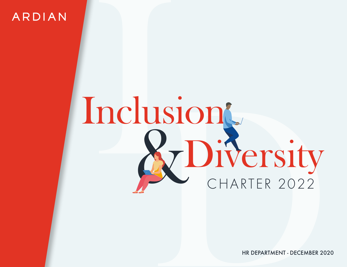ARDIAN

# Inclus Diversity Inclusion

HR DEPARTMENT - DECEMBER 2020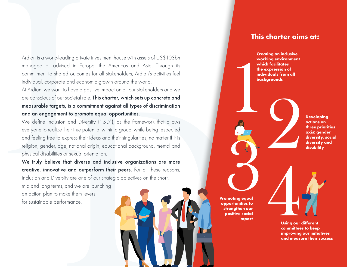Ardian is a world-leading private investment house with assets of US\$103bn managed or advised in Europe, the Americas and Asia. Through its commitment to shared outcomes for all stakeholders, Ardian's activities fuel individual, corporate and economic growth around the world.

At Ardian, we want to have a positive impact on all our stakeholders and we are conscious of our societal role. This charter, which sets up concrete and measurable targets, is a commitment against all types of discrimination and an engagement to promote equal opportunities.

We define Inclusion and Diversity ("I&D"), as the framework that allows everyone to realize their true potential within a group, while being respected and feeling free to express their ideas and their singularities, no matter if it is religion, gender, age, national origin, educational background, mental and physical disabilities or sexual orientation.

Ardian is a world-leading privary<br>managed or advised in Eurommitment to shared outcom<br>individual, corporate and econ<br>At Ardian, we want to have a pare conscious of our societal ra<br>**measurable targets, is a com<br>and an engag** To have a positive impact on all our stateholders and we<br>to have a positive impact on all our stateholders and we<br>stay is a commitment against all types of discrimination<br>the promote equal opportunities.<br>On and Diversity ( We truly believe that diverse and inclusive organizations are more creative, innovative and outperform their peers. For all these reasons, Inclusion and Diversity are one of our strategic objectives on the short, mid and long terms, and we are launching an action plan to make them levers for sustainable performance.

Promoting equal opportunities to strengthen our positive social impact

### This charter aims at:

Creating an inclusive

working environment which facilitates the expression of individuals from all backgrounds Developing actions on three priorities axis: gender diversity, social diversity and disability France Controllers (The Same Controllers and measure their success and measure their success and measure their success and measure their success and measure their success and measure their success and measure their success Properties to the positive social committee

Using our different committees to keep improving our initiatives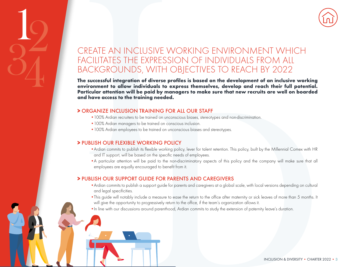

## REATE AN INCLUSIVE<br>
NCILITATES THE EXPRES<br>
ACKGROUNDS, WITH<br>
successful integration of diverse<br>
vironment to allow individuals to to<br>
vironment to allow individuals to by m<br>
tricular attention will be paid by m<br>
have acces CREATE AN INCLUSIVE WORKING ENVIRONMENT WHICH FACILITATES THE EXPRESSION OF INDIVIDUALS FROM ALL BACKGROUNDS, WITH OBJECTIVES TO REACH BY 2022

**paid by managers to make sure that new recruits are well on boarded<br>
EXAINING FOR ALL OUR STAFF<br>
Electroned on unconscious bisses, sterestypes and non-discrimination.**<br>
In the indexed on a meconological bisses, sterestype The successful integration of diverse profiles is based on the development of an inclusive working environment to allow individuals to express themselves, develop and reach their full potential. Particular attention will be paid by managers to make sure that new recruits are well on boarded and have access to the training needed.

### > ORGANIZE INCLUSION TRAINING FOR ALL OUR STAFF

- •100% Ardian recruiters to be trained on unconscious biases, stereotypes and non-discrimination.
- •100% Ardian managers to be trained on conscious inclusion.
- •100% Ardian employees to be trained on unconscious biases and stereotypes.

### > PUBLISH OUR FLEXIBLE WORKING POLICY

19

34

- •Ardian commits to publish its flexible working policy, lever for talent retention. This policy, built by the Millennial Comex with HR and IT support, will be based on the specific needs of employees.
- •A particular attention will be paid to the non-discriminatory aspects of this policy and the company will make sure that all employees are equally encouraged to benefit from it.

### > PUBLISH OUR SUPPORT GUIDE FOR PARENTS AND CAREGIVERS

- •Ardian commits to publish a support guide for parents and caregivers at a global scale, with local versions depending on cultural and legal specificities.
- •This guide will notably include a measure to ease the return to the office after maternity or sick leaves of more than 5 months. It will give the opportunity to progressively return to the office, if the team's organization allows it.
- •In line with our discussions around parenthood, Ardian commits to study the extension of paternity leave's duration.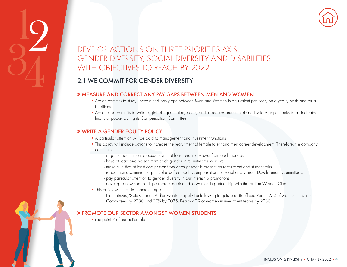

## EVELOP ACTIONS ON THE SERVICE STOREAD (THE OBJECTIVES TO READ (THE OBJECTIVES TO READ (THE OBJECTIVES TO READ (THE OBJECTIVES TO READ (THE A GARD CORRECT ANY PAY (The Addion commits to study unexplained pay its offices. Ad DEVELOP ACTIONS ON THREE PRIORITIES AXIS: GENDER DIVERSITY, SOCIAL DIVERSITY AND DISABILITIES WITH OBJECTIVES TO REACH BY 2022

### 2.1 WE COMMIT FOR GENDER DIVERSITY

### > MEASURE AND CORRECT ANY PAY GAPS BETWEEN MEN AND WOMEN

- Ardian commits to study unexplained pay gaps between Men and Women in equivalent positions, on a yearly basis and for all its offices.
- Ardian also commits to write a global equal salary policy and to reduce any unexplained salary gaps thanks to a dedicated financial pocket during its Compensation Committee.

### > WRITE A GENDER EQUITY POLICY

 $\frac{1}{2}$ 

34

- A particular attention will be paid to management and investment functions.
- **ANY PAY GAPS BETWEEN MEN AND WOMEN**<br>**ANY PAY GAPS BETWEEN MEN AND WOMEN**<br>epidened pay gaps between Men and Women in equivalent positions, on a yearly basis and for all<br>equipode and solve a photon of the paid to metallicat • This policy will include actions to increase the recruitment of female talent and their career development. Therefore, the company commits to:
	- organize recruitment processes with at least one interviewer from each gender.
	- have at least one person from each gender in recruitments shortlists.
	- make sure that at least one person from each gender is present on recruitment and student fairs.
	- repeat non-discrimination principles before each Compensation, Personal and Career Development Committees.
	- pay particular attention to gender diversity in our internship promotions.
	- develop a new sponsorship program dedicated to women in partnership with the Ardian Women Club.
- This policy will include concrete targets:
	- FranceInvest/Sista Charter: Ardian wants to apply the following targets to all its offices. Reach 25% of women in Investment Committees by 2030 and 30% by 2035. Reach 40% of women in investment teams by 2030.

### > PROMOTE OUR SECTOR AMONGST WOMEN STUDENTS

• see point 3 of our action plan.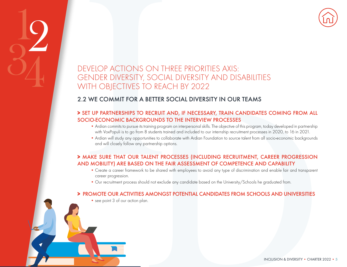

## EVELOP ACTIONS ON THE FIND DROBUTY) ARE BASED ON THE COMMON ANDEN THAT OUR TALLENT PRODUCTIONS (THE STATE THAT OUR TALLENT PRODUCTIONS) THAT OUR TALLENT PRODUCTS (THE STATE THAT OUR TALLENT PRODUCTS) AND MOBILITY) ARE BASE DEVELOP ACTIONS ON THREE PRIORITIES AXIS: GENDER DIVERSITY, SOCIAL DIVERSITY AND DISABILITIES WITH OBJECTIVES TO REACH BY 2022

### 2.2 WE COMMIT FOR A BETTER SOCIAL DIVERSITY IN OUR TEAMS

# **BETTER SOCIAL DIVERSITY IN OUR TEAMS<br>
RECRUIT AND, IF INTERVENTY IN OUR TEAMS<br>
ROWONDS TO THE INTERVENTY PROCESSES**<br>
ROWONDS TO THE INTERVENTY PROCESSES<br>
Busines roand one interpresented skills. The objective of this prog > SET UP PARTNERSHIPS TO RECRUIT AND, IF NECESSARY, TRAIN CANDIDATES COMING FROM ALL SOCIO-ECONOMIC BACKGROUNDS TO THE INTERVIEW PROCESSES

- Ardian commits to pursue its training program on interpersonal skills. The objective of this program, today developed in partnership with VoxPopuli is to go from 8 students trained and included to our internship recruitment processes in 2020, to 16 in 2021.
- Ardian will study any opportunities to collaborate with Ardian Foundation to source talent from all socio-economic backgrounds and will closely follow any partnership options.

### > MAKE SURE THAT OUR TALENT PROCESSES (INCLUDING RECRUITMENT, CAREER PROGRESSION AND MOBILITY) ARE BASED ON THE FAIR ASSESSMENT OF COMPETENCE AND CAPABILITY

- Create a career framework to be shared with employees to avoid any type of discrimination and enable fair and transparent career progression.
- Our recruitment process should not exclude any candidate based on the University/Schools he graduated from.

### > PROMOTE OUR ACTIVITIES AMONGST POTENTIAL CANDIDATES FROM SCHOOLS AND UNIVERSITIES

• see point 3 of our action plan.

 $\frac{1}{2}$ 

34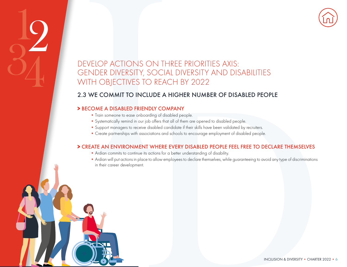

## EVELOP ACTIONS ON THE NDER DIVERSITY, SOCIAL<br>ITH OBJECTIVES TO REAM<br>ITH OBJECTIVES TO REAM<br>ITH OBJECTIVES TO REAM<br>FECOME A DISABLED FRIENDLY COM<br>IN TRIGUISM TO INCLUDE A<br>INSURGE TO A Systematically remind in our job offers DEVELOP ACTIONS ON THREE PRIORITIES AXIS: GENDER DIVERSITY, SOCIAL DIVERSITY AND DISABILITIES WITH OBJECTIVES TO REACH BY 2022

### 2.3 WE COMMIT TO INCLUDE A HIGHER NUMBER OF DISABLED PEOPLE

### > BECOME A DISABLED FRIENDLY COMPANY

 $\frac{1}{2}$ 

34

- Train someone to ease onboarding of disabled people.
- Systematically remind in our job offers that all of them are opened to disabled people.
- Support managers to receive disabled candidate if their skills have been validated by recruiters.
- Create partnerships with associations and schools to encourage employment of disabled people.

### > CREATE AN ENVIRONMENT WHERE EVERY DISABLED PEOPLE FEEL FREE TO DECLARE THEMSELVES

- Ardian commits to continue its actions for a better understanding of disability.
- CLUDE A HIGHER NUMBER OF DISABLED PEOPLE<br>
Society of disabled people.<br>
prob offers that all of them are popered to disabled people.<br>
end disabled condidate if their skills have been validated by recruiters.<br>
sociations and • Ardian will put actions in place to allow employees to declare themselves, while guaranteeing to avoid any type of discriminations in their career development.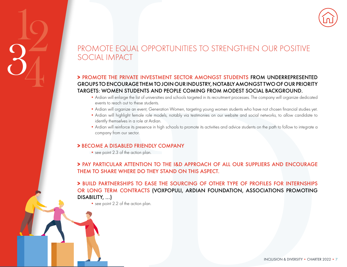

### PROMOTE EQUAL OPPORTUNITIES TO STRENGTHEN OUR POSITIVE SOCIAL IMPACT

### > PROMOTE THE PRIVATE INVESTMENT SECTOR AMONGST STUDENTS FROM UNDERREPRESENTED GROUPS TO ENCOURAGE THEM TO JOIN OUR INDUSTRY, NOTABLY AMONGST TWO OF OUR PRIORITY TARGETS: WOMEN STUDENTS AND PEOPLE COMING FROM MODEST SOCIAL BACKGROUND.

- Ardian will enlarge the list of universities and schools targeted in its recruitment processes. The company will organize dedicated events to reach out to these students.
- Ardian will organize an event, Generation Women, targeting young women students who have not chosen financial studies yet.
- Ardian will highlight female role models, notably via testimonies on our website and social networks, to allow candidate to identify themselves in a role at Ardian.
- Ardian will reinforce its presence in high schools to promote its activities and advice students on the path to follow to integrate a company from our sector.

### > BECOME A DISABLED FRIENDLY COMPANY

• see point 2.3 of the action plan.

 $\frac{1}{2}$ 

34

### > PAY PARTICULAR ATTENTION TO THE I&D APPROACH OF ALL OUR SUPPLIERS AND ENCOURAGE THEM TO SHARE WHERE DO THEY STAND ON THIS ASPECT.

PORT CONTENTION TO THE VARIATION CONTENTION CONTENTION CARRED TO SHARE WERE TO SAVID PROVIDENTS AND PISCHED CONTENTS. WOWEN STUDENTS AND PISCHED to Addian will enlarge the list of universities a events to reach out to thes ITS AND PEOPLE COMING FROM MODEST SOCIAL BACKGROUND.<br>
If universities and schools torgeted in its recruitment processes. The company will cagarize distributed<br>
studients.<br>
The Company Women, trageding young women studients > BUILD PARTNERSHIPS TO EASE THE SOURCING OF OTHER TYPE OF PROFILES FOR INTERNSHIPS OR LONG TERM CONTRACTS (VOXPOPULI, ARDIAN FOUNDATION, ASSOCIATIONS PROMOTING DISABILITY, …)

• see point 2.2 of the action plan.